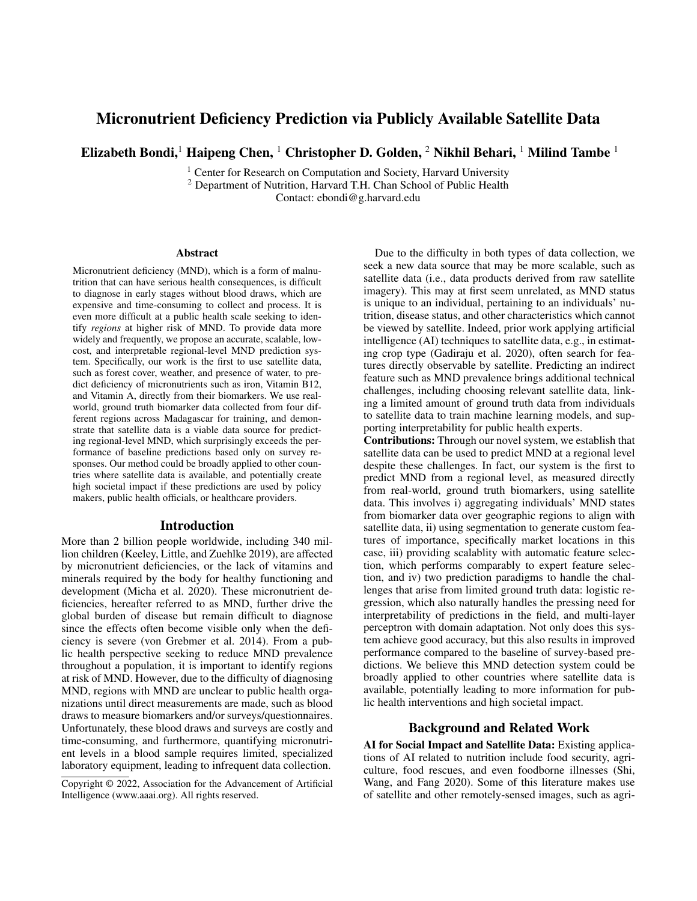# Micronutrient Deficiency Prediction via Publicly Available Satellite Data

Elizabeth Bondi,<sup>1</sup> Haipeng Chen, <sup>1</sup> Christopher D. Golden, <sup>2</sup> Nikhil Behari, <sup>1</sup> Milind Tambe <sup>1</sup>

<sup>1</sup> Center for Research on Computation and Society, Harvard University <sup>2</sup> Department of Nutrition, Harvard T.H. Chan School of Public Health

Contact: ebondi@g.harvard.edu

#### Abstract

Micronutrient deficiency (MND), which is a form of malnutrition that can have serious health consequences, is difficult to diagnose in early stages without blood draws, which are expensive and time-consuming to collect and process. It is even more difficult at a public health scale seeking to identify *regions* at higher risk of MND. To provide data more widely and frequently, we propose an accurate, scalable, lowcost, and interpretable regional-level MND prediction system. Specifically, our work is the first to use satellite data, such as forest cover, weather, and presence of water, to predict deficiency of micronutrients such as iron, Vitamin B12, and Vitamin A, directly from their biomarkers. We use realworld, ground truth biomarker data collected from four different regions across Madagascar for training, and demonstrate that satellite data is a viable data source for predicting regional-level MND, which surprisingly exceeds the performance of baseline predictions based only on survey responses. Our method could be broadly applied to other countries where satellite data is available, and potentially create high societal impact if these predictions are used by policy makers, public health officials, or healthcare providers.

#### Introduction

More than 2 billion people worldwide, including 340 million children (Keeley, Little, and Zuehlke 2019), are affected by micronutrient deficiencies, or the lack of vitamins and minerals required by the body for healthy functioning and development (Micha et al. 2020). These micronutrient deficiencies, hereafter referred to as MND, further drive the global burden of disease but remain difficult to diagnose since the effects often become visible only when the deficiency is severe (von Grebmer et al. 2014). From a public health perspective seeking to reduce MND prevalence throughout a population, it is important to identify regions at risk of MND. However, due to the difficulty of diagnosing MND, regions with MND are unclear to public health organizations until direct measurements are made, such as blood draws to measure biomarkers and/or surveys/questionnaires. Unfortunately, these blood draws and surveys are costly and time-consuming, and furthermore, quantifying micronutrient levels in a blood sample requires limited, specialized laboratory equipment, leading to infrequent data collection.

Due to the difficulty in both types of data collection, we seek a new data source that may be more scalable, such as satellite data (i.e., data products derived from raw satellite imagery). This may at first seem unrelated, as MND status is unique to an individual, pertaining to an individuals' nutrition, disease status, and other characteristics which cannot be viewed by satellite. Indeed, prior work applying artificial intelligence (AI) techniques to satellite data, e.g., in estimating crop type (Gadiraju et al. 2020), often search for features directly observable by satellite. Predicting an indirect feature such as MND prevalence brings additional technical challenges, including choosing relevant satellite data, linking a limited amount of ground truth data from individuals to satellite data to train machine learning models, and supporting interpretability for public health experts.

Contributions: Through our novel system, we establish that satellite data can be used to predict MND at a regional level despite these challenges. In fact, our system is the first to predict MND from a regional level, as measured directly from real-world, ground truth biomarkers, using satellite data. This involves i) aggregating individuals' MND states from biomarker data over geographic regions to align with satellite data, ii) using segmentation to generate custom features of importance, specifically market locations in this case, iii) providing scalablity with automatic feature selection, which performs comparably to expert feature selection, and iv) two prediction paradigms to handle the challenges that arise from limited ground truth data: logistic regression, which also naturally handles the pressing need for interpretability of predictions in the field, and multi-layer perceptron with domain adaptation. Not only does this system achieve good accuracy, but this also results in improved performance compared to the baseline of survey-based predictions. We believe this MND detection system could be broadly applied to other countries where satellite data is available, potentially leading to more information for public health interventions and high societal impact.

### Background and Related Work

AI for Social Impact and Satellite Data: Existing applications of AI related to nutrition include food security, agriculture, food rescues, and even foodborne illnesses (Shi, Wang, and Fang 2020). Some of this literature makes use of satellite and other remotely-sensed images, such as agri-

Copyright © 2022, Association for the Advancement of Artificial Intelligence (www.aaai.org). All rights reserved.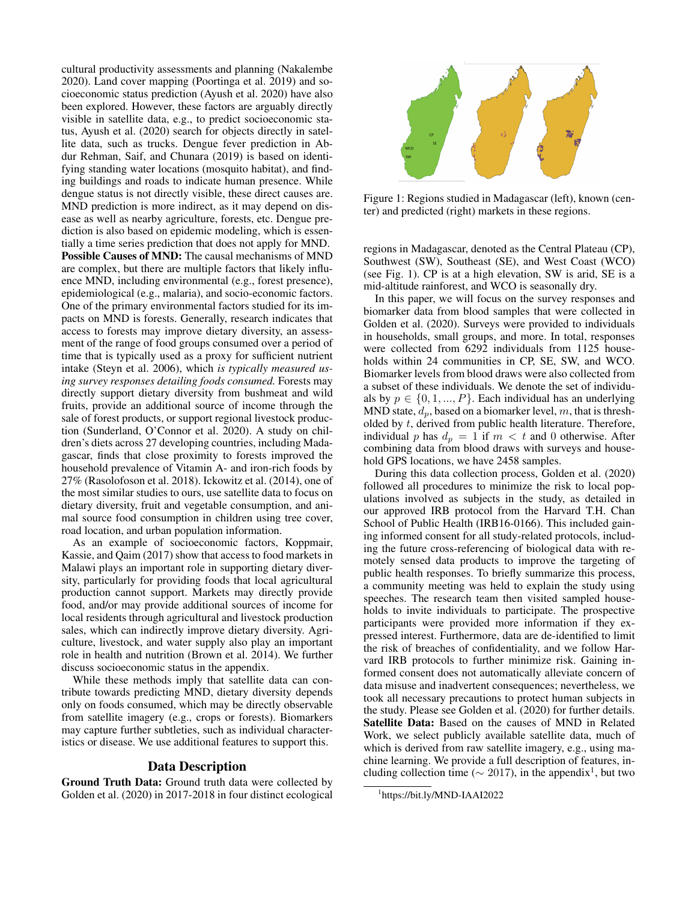cultural productivity assessments and planning (Nakalembe 2020). Land cover mapping (Poortinga et al. 2019) and socioeconomic status prediction (Ayush et al. 2020) have also been explored. However, these factors are arguably directly visible in satellite data, e.g., to predict socioeconomic status, Ayush et al. (2020) search for objects directly in satellite data, such as trucks. Dengue fever prediction in Abdur Rehman, Saif, and Chunara (2019) is based on identifying standing water locations (mosquito habitat), and finding buildings and roads to indicate human presence. While dengue status is not directly visible, these direct causes are. MND prediction is more indirect, as it may depend on disease as well as nearby agriculture, forests, etc. Dengue prediction is also based on epidemic modeling, which is essentially a time series prediction that does not apply for MND. Possible Causes of MND: The causal mechanisms of MND are complex, but there are multiple factors that likely influence MND, including environmental (e.g., forest presence), epidemiological (e.g., malaria), and socio-economic factors. One of the primary environmental factors studied for its impacts on MND is forests. Generally, research indicates that access to forests may improve dietary diversity, an assessment of the range of food groups consumed over a period of time that is typically used as a proxy for sufficient nutrient intake (Steyn et al. 2006), which *is typically measured using survey responses detailing foods consumed.* Forests may directly support dietary diversity from bushmeat and wild fruits, provide an additional source of income through the sale of forest products, or support regional livestock production (Sunderland, O'Connor et al. 2020). A study on children's diets across 27 developing countries, including Madagascar, finds that close proximity to forests improved the household prevalence of Vitamin A- and iron-rich foods by 27% (Rasolofoson et al. 2018). Ickowitz et al. (2014), one of the most similar studies to ours, use satellite data to focus on dietary diversity, fruit and vegetable consumption, and animal source food consumption in children using tree cover, road location, and urban population information.

As an example of socioeconomic factors, Koppmair, Kassie, and Qaim (2017) show that access to food markets in Malawi plays an important role in supporting dietary diversity, particularly for providing foods that local agricultural production cannot support. Markets may directly provide food, and/or may provide additional sources of income for local residents through agricultural and livestock production sales, which can indirectly improve dietary diversity. Agriculture, livestock, and water supply also play an important role in health and nutrition (Brown et al. 2014). We further discuss socioeconomic status in the appendix.

While these methods imply that satellite data can contribute towards predicting MND, dietary diversity depends only on foods consumed, which may be directly observable from satellite imagery (e.g., crops or forests). Biomarkers may capture further subtleties, such as individual characteristics or disease. We use additional features to support this.

#### Data Description

Ground Truth Data: Ground truth data were collected by Golden et al. (2020) in 2017-2018 in four distinct ecological



Figure 1: Regions studied in Madagascar (left), known (center) and predicted (right) markets in these regions.

regions in Madagascar, denoted as the Central Plateau (CP), Southwest (SW), Southeast (SE), and West Coast (WCO) (see Fig. 1). CP is at a high elevation, SW is arid, SE is a mid-altitude rainforest, and WCO is seasonally dry.

In this paper, we will focus on the survey responses and biomarker data from blood samples that were collected in Golden et al. (2020). Surveys were provided to individuals in households, small groups, and more. In total, responses were collected from 6292 individuals from 1125 households within 24 communities in CP, SE, SW, and WCO. Biomarker levels from blood draws were also collected from a subset of these individuals. We denote the set of individuals by  $p \in \{0, 1, ..., P\}$ . Each individual has an underlying MND state,  $d_p$ , based on a biomarker level, m, that is thresholded by t, derived from public health literature. Therefore, individual p has  $d_p = 1$  if  $m < t$  and 0 otherwise. After combining data from blood draws with surveys and household GPS locations, we have 2458 samples.

During this data collection process, Golden et al. (2020) followed all procedures to minimize the risk to local populations involved as subjects in the study, as detailed in our approved IRB protocol from the Harvard T.H. Chan School of Public Health (IRB16-0166). This included gaining informed consent for all study-related protocols, including the future cross-referencing of biological data with remotely sensed data products to improve the targeting of public health responses. To briefly summarize this process, a community meeting was held to explain the study using speeches. The research team then visited sampled households to invite individuals to participate. The prospective participants were provided more information if they expressed interest. Furthermore, data are de-identified to limit the risk of breaches of confidentiality, and we follow Harvard IRB protocols to further minimize risk. Gaining informed consent does not automatically alleviate concern of data misuse and inadvertent consequences; nevertheless, we took all necessary precautions to protect human subjects in the study. Please see Golden et al. (2020) for further details. Satellite Data: Based on the causes of MND in Related Work, we select publicly available satellite data, much of which is derived from raw satellite imagery, e.g., using machine learning. We provide a full description of features, including collection time ( $\sim 2017$ ), in the appendix<sup>1</sup>, but two

<sup>1</sup> https://bit.ly/MND-IAAI2022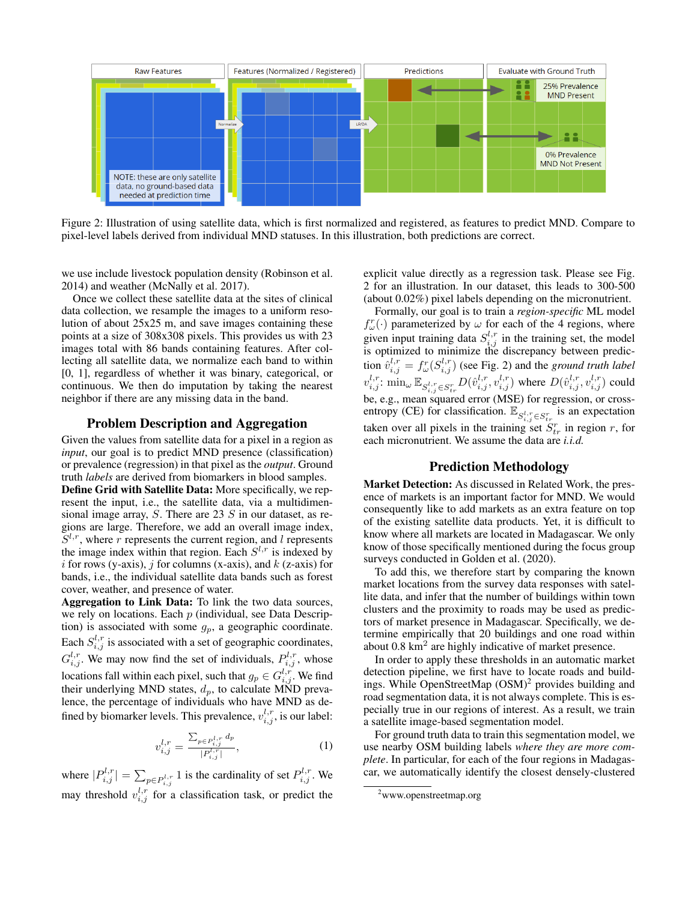

Figure 2: Illustration of using satellite data, which is first normalized and registered, as features to predict MND. Compare to pixel-level labels derived from individual MND statuses. In this illustration, both predictions are correct.

we use include livestock population density (Robinson et al. 2014) and weather (McNally et al. 2017).

Once we collect these satellite data at the sites of clinical data collection, we resample the images to a uniform resolution of about 25x25 m, and save images containing these points at a size of 308x308 pixels. This provides us with 23 images total with 86 bands containing features. After collecting all satellite data, we normalize each band to within [0, 1], regardless of whether it was binary, categorical, or continuous. We then do imputation by taking the nearest neighbor if there are any missing data in the band.

### Problem Description and Aggregation

Given the values from satellite data for a pixel in a region as *input*, our goal is to predict MND presence (classification) or prevalence (regression) in that pixel as the *output*. Ground truth *labels* are derived from biomarkers in blood samples. Define Grid with Satellite Data: More specifically, we rep-

resent the input, i.e., the satellite data, via a multidimensional image array,  $S$ . There are 23  $S$  in our dataset, as regions are large. Therefore, we add an overall image index,  $S^{l,r}$ , where r represents the current region, and l represents the image index within that region. Each  $S^{l,r}$  is indexed by i for rows (y-axis), j for columns (x-axis), and  $k$  (z-axis) for bands, i.e., the individual satellite data bands such as forest cover, weather, and presence of water.

Aggregation to Link Data: To link the two data sources, we rely on locations. Each  $p$  (individual, see Data Description) is associated with some  $g_p$ , a geographic coordinate. Each  $S_{i,j}^{l,r}$  is associated with a set of geographic coordinates,  $G_{i,j}^{l,r}$ . We may now find the set of individuals,  $P_{i,j}^{l,r}$ , whose locations fall within each pixel, such that  $g_p \in G_{i,j}^{l,r}$  . We find their underlying MND states,  $d_p$ , to calculate MND prevalence, the percentage of individuals who have MND as defined by biomarker levels. This prevalence,  $v_{i,j}^{l,r}$ , is our label:

$$
v_{i,j}^{l,r} = \frac{\sum_{p \in P_{i,j}^{l,r}} d_p}{|P_{i,j}^{l,r}|},\tag{1}
$$

where  $|P_{i,j}^{l,r}| = \sum_{p \in P_{i,j}^{l,r}} 1$  is the cardinality of set  $P_{i,j}^{l,r}$ . We may threshold  $v_{i,j}^{l,r}$  for a classification task, or predict the explicit value directly as a regression task. Please see Fig. 2 for an illustration. In our dataset, this leads to 300-500 (about 0.02%) pixel labels depending on the micronutrient.

Formally, our goal is to train a *region-specific* ML model  $f_{\omega}^{r}(\cdot)$  parameterized by  $\omega$  for each of the 4 regions, where given input training data  $S_{i,j}^{l,r}$  in the training set, the model is optimized to minimize the discrepancy between prediction  $\hat{v}_{i,j}^{l,r} = f_{\omega}^r(S_{i,j}^{l,r})$  (see Fig. 2) and the *ground truth label*  $v_{i,j}^{l,r}$ :  $\min_{\omega} \mathbb{E}_{S_{i,j}^{l,r} \in S_{tr}^r} D(\hat{v}_{i,j}^{l,r}, v_{i,j}^{l,r})$  where  $D(\hat{v}_{i,j}^{l,r}, v_{i,j}^{l,r})$  could be, e.g., mean squared error (MSE) for regression, or crossentropy (CE) for classification.  $\mathbb{E}_{S_{i,j}^{l,r} \in S_{i,r}^{r}}$  is an expectation taken over all pixels in the training set  $S_{tr}^r$  in region r, for each micronutrient. We assume the data are *i.i.d.*

## Prediction Methodology

Market Detection: As discussed in Related Work, the presence of markets is an important factor for MND. We would consequently like to add markets as an extra feature on top of the existing satellite data products. Yet, it is difficult to know where all markets are located in Madagascar. We only know of those specifically mentioned during the focus group surveys conducted in Golden et al. (2020).

To add this, we therefore start by comparing the known market locations from the survey data responses with satellite data, and infer that the number of buildings within town clusters and the proximity to roads may be used as predictors of market presence in Madagascar. Specifically, we determine empirically that 20 buildings and one road within about  $0.8 \text{ km}^2$  are highly indicative of market presence.

In order to apply these thresholds in an automatic market detection pipeline, we first have to locate roads and buildings. While OpenStreetMap  $(OSM)^2$  provides building and road segmentation data, it is not always complete. This is especially true in our regions of interest. As a result, we train a satellite image-based segmentation model.

For ground truth data to train this segmentation model, we use nearby OSM building labels *where they are more complete*. In particular, for each of the four regions in Madagascar, we automatically identify the closest densely-clustered

<sup>2</sup>www.openstreetmap.org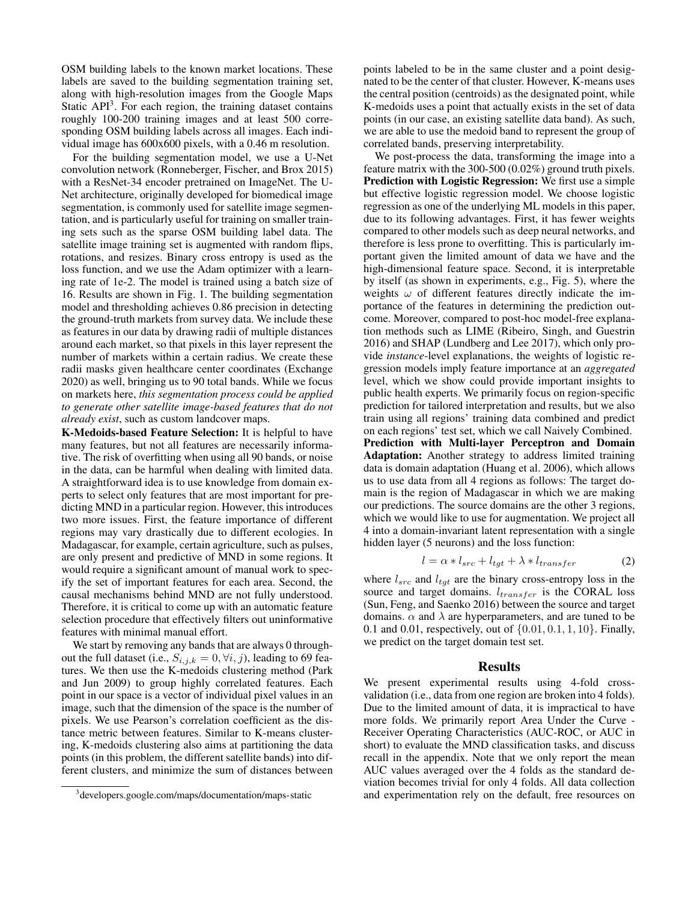OSM building labels to the known market locations. These labels are saved to the building segmentation training set, along with high-resolution images from the Google Maps Static API<sup>3</sup>. For each region, the training dataset contains roughly 100-200 training images and at least 500 corresponding OSM building labels across all images. Each individual image has 600x600 pixels, with a 0.46 m resolution.

For the building segmentation model, we use a U-Net convolution network (Ronneberger, Fischer, and Brox 2015) with a ResNet-34 encoder pretrained on ImageNet. The U-Net architecture, originally developed for biomedical image segmentation, is commonly used for satellite image segmentation, and is particularly useful for training on smaller training sets such as the sparse OSM building label data. The satellite image training set is augmented with random flips, rotations, and resizes. Binary cross entropy is used as the loss function, and we use the Adam optimizer with a learning rate of 1e-2. The model is trained using a batch size of 16. Results are shown in Fig. 1. The building segmentation model and thresholding achieves 0.86 precision in detecting the ground-truth markets from survey data. We include these as features in our data by drawing radii of multiple distances around each market, so that pixels in this layer represent the number of markets within a certain radius. We create these radii masks given healthcare center coordinates (Exchange 2020) as well, bringing us to 90 total bands. While we focus on markets here, *this segmentation process could be applied to generate other satellite image-based features that do not already exist*, such as custom landcover maps.

K-Medoids-based Feature Selection: It is helpful to have many features, but not all features are necessarily informative. The risk of overfitting when using all 90 bands, or noise in the data, can be harmful when dealing with limited data. A straightforward idea is to use knowledge from domain experts to select only features that are most important for predicting MND in a particular region. However, this introduces two more issues. First, the feature importance of different regions may vary drastically due to different ecologies. In Madagascar, for example, certain agriculture, such as pulses, are only present and predictive of MND in some regions. It would require a significant amount of manual work to specify the set of important features for each area. Second, the causal mechanisms behind MND are not fully understood. Therefore, it is critical to come up with an automatic feature selection procedure that effectively filters out uninformative features with minimal manual effort.

We start by removing any bands that are always 0 throughout the full dataset (i.e.,  $S_{i,j,k} = 0, \forall i, j$ ), leading to 69 features. We then use the K-medoids clustering method (Park and Jun 2009) to group highly correlated features. Each point in our space is a vector of individual pixel values in an image, such that the dimension of the space is the number of pixels. We use Pearson's correlation coefficient as the distance metric between features. Similar to K-means clustering, K-medoids clustering also aims at partitioning the data points (in this problem, the different satellite bands) into different clusters, and minimize the sum of distances between

points labeled to be in the same cluster and a point designated to be the center of that cluster. However, K-means uses the central position (centroids) as the designated point, while K-medoids uses a point that actually exists in the set of data points (in our case, an existing satellite data band). As such, we are able to use the medoid band to represent the group of correlated bands, preserving interpretability.

We post-process the data, transforming the image into a feature matrix with the 300-500 (0.02%) ground truth pixels. Prediction with Logistic Regression: We first use a simple but effective logistic regression model. We choose logistic regression as one of the underlying ML models in this paper, due to its following advantages. First, it has fewer weights compared to other models such as deep neural networks, and therefore is less prone to overfitting. This is particularly important given the limited amount of data we have and the high-dimensional feature space. Second, it is interpretable by itself (as shown in experiments, e.g., Fig. 5), where the weights  $\omega$  of different features directly indicate the importance of the features in determining the prediction outcome. Moreover, compared to post-hoc model-free explanation methods such as LIME (Ribeiro, Singh, and Guestrin 2016) and SHAP (Lundberg and Lee 2017), which only provide *instance*-level explanations, the weights of logistic regression models imply feature importance at an *aggregated* level, which we show could provide important insights to public health experts. We primarily focus on region-specific prediction for tailored interpretation and results, but we also train using all regions' training data combined and predict on each regions' test set, which we call Naively Combined. Prediction with Multi-layer Perceptron and Domain Adaptation: Another strategy to address limited training data is domain adaptation (Huang et al. 2006), which allows us to use data from all 4 regions as follows: The target domain is the region of Madagascar in which we are making our predictions. The source domains are the other 3 regions, which we would like to use for augmentation. We project all 4 into a domain-invariant latent representation with a single hidden layer (5 neurons) and the loss function:

$$
l = \alpha * l_{src} + l_{tgt} + \lambda * l_{transfer} \tag{2}
$$

where  $l_{src}$  and  $l_{tgt}$  are the binary cross-entropy loss in the source and target domains.  $l_{transfer}$  is the CORAL loss (Sun, Feng, and Saenko 2016) between the source and target domains.  $\alpha$  and  $\lambda$  are hyperparameters, and are tuned to be 0.1 and 0.01, respectively, out of  $\{0.01, 0.1, 1, 10\}$ . Finally, we predict on the target domain test set.

#### Results

We present experimental results using 4-fold crossvalidation (i.e., data from one region are broken into 4 folds). Due to the limited amount of data, it is impractical to have more folds. We primarily report Area Under the Curve - Receiver Operating Characteristics (AUC-ROC, or AUC in short) to evaluate the MND classification tasks, and discuss recall in the appendix. Note that we only report the mean AUC values averaged over the 4 folds as the standard deviation becomes trivial for only 4 folds. All data collection and experimentation rely on the default, free resources on

<sup>3</sup> developers.google.com/maps/documentation/maps-static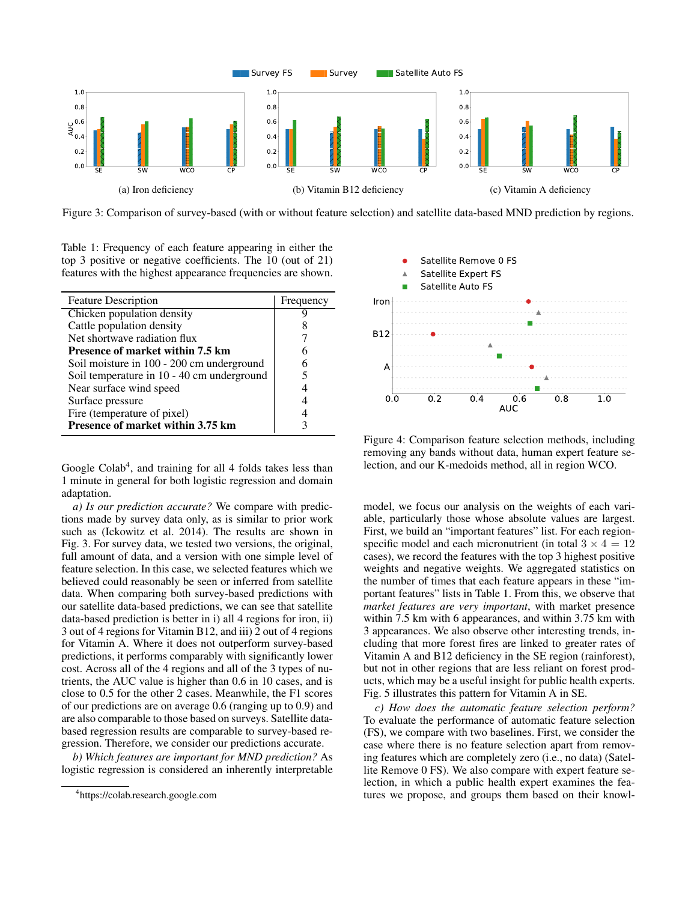

Figure 3: Comparison of survey-based (with or without feature selection) and satellite data-based MND prediction by regions.

Table 1: Frequency of each feature appearing in either the top 3 positive or negative coefficients. The 10 (out of 21) features with the highest appearance frequencies are shown.

| <b>Feature Description</b>                 | Frequency |
|--------------------------------------------|-----------|
| Chicken population density                 |           |
| Cattle population density                  | x         |
| Net shortwave radiation flux               |           |
| <b>Presence of market within 7.5 km</b>    | 6         |
| Soil moisture in 100 - 200 cm underground  | 6         |
| Soil temperature in 10 - 40 cm underground |           |
| Near surface wind speed                    |           |
| Surface pressure                           |           |
| Fire (temperature of pixel)                |           |
| Presence of market within 3.75 km          |           |

Google Colab<sup>4</sup>, and training for all 4 folds takes less than 1 minute in general for both logistic regression and domain adaptation.

*a) Is our prediction accurate?* We compare with predictions made by survey data only, as is similar to prior work such as (Ickowitz et al. 2014). The results are shown in Fig. 3. For survey data, we tested two versions, the original, full amount of data, and a version with one simple level of feature selection. In this case, we selected features which we believed could reasonably be seen or inferred from satellite data. When comparing both survey-based predictions with our satellite data-based predictions, we can see that satellite data-based prediction is better in i) all 4 regions for iron, ii) 3 out of 4 regions for Vitamin B12, and iii) 2 out of 4 regions for Vitamin A. Where it does not outperform survey-based predictions, it performs comparably with significantly lower cost. Across all of the 4 regions and all of the 3 types of nutrients, the AUC value is higher than 0.6 in 10 cases, and is close to 0.5 for the other 2 cases. Meanwhile, the F1 scores of our predictions are on average 0.6 (ranging up to 0.9) and are also comparable to those based on surveys. Satellite databased regression results are comparable to survey-based regression. Therefore, we consider our predictions accurate.

*b) Which features are important for MND prediction?* As logistic regression is considered an inherently interpretable



Figure 4: Comparison feature selection methods, including removing any bands without data, human expert feature selection, and our K-medoids method, all in region WCO.

model, we focus our analysis on the weights of each variable, particularly those whose absolute values are largest. First, we build an "important features" list. For each regionspecific model and each micronutrient (in total  $3 \times 4 = 12$ ) cases), we record the features with the top 3 highest positive weights and negative weights. We aggregated statistics on the number of times that each feature appears in these "important features" lists in Table 1. From this, we observe that *market features are very important*, with market presence within 7.5 km with 6 appearances, and within 3.75 km with 3 appearances. We also observe other interesting trends, including that more forest fires are linked to greater rates of Vitamin A and B12 deficiency in the SE region (rainforest), but not in other regions that are less reliant on forest products, which may be a useful insight for public health experts. Fig. 5 illustrates this pattern for Vitamin A in SE.

*c) How does the automatic feature selection perform?* To evaluate the performance of automatic feature selection (FS), we compare with two baselines. First, we consider the case where there is no feature selection apart from removing features which are completely zero (i.e., no data) (Satellite Remove 0 FS). We also compare with expert feature selection, in which a public health expert examines the features we propose, and groups them based on their knowl-

<sup>4</sup> https://colab.research.google.com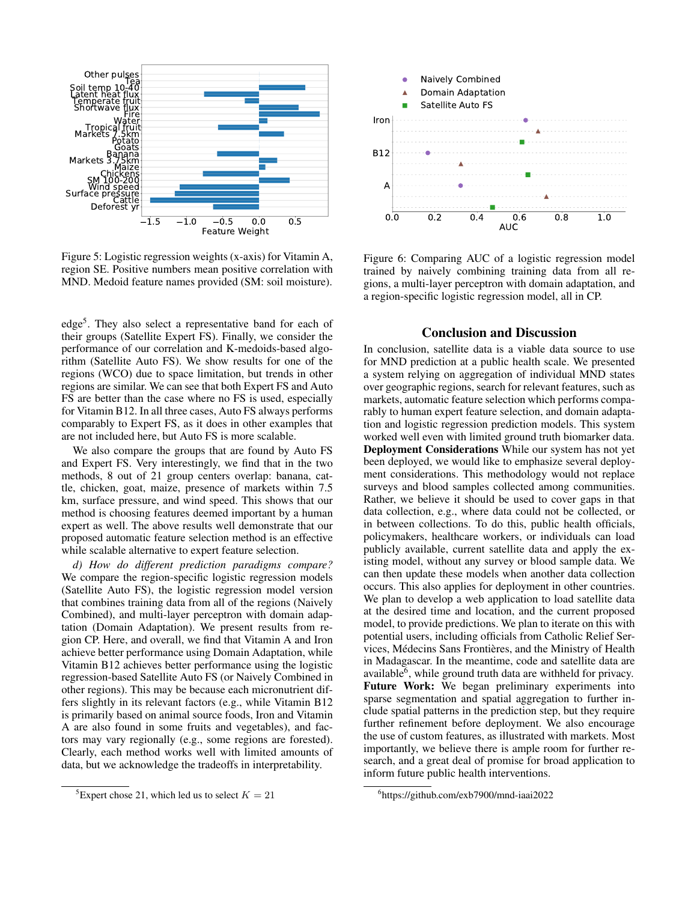

Figure 5: Logistic regression weights (x-axis) for Vitamin A, region SE. Positive numbers mean positive correlation with MND. Medoid feature names provided (SM: soil moisture).

edge<sup>5</sup>. They also select a representative band for each of their groups (Satellite Expert FS). Finally, we consider the performance of our correlation and K-medoids-based algorithm (Satellite Auto FS). We show results for one of the regions (WCO) due to space limitation, but trends in other regions are similar. We can see that both Expert FS and Auto FS are better than the case where no FS is used, especially for Vitamin B12. In all three cases, Auto FS always performs comparably to Expert FS, as it does in other examples that are not included here, but Auto FS is more scalable.

We also compare the groups that are found by Auto FS and Expert FS. Very interestingly, we find that in the two methods, 8 out of 21 group centers overlap: banana, cattle, chicken, goat, maize, presence of markets within 7.5 km, surface pressure, and wind speed. This shows that our method is choosing features deemed important by a human expert as well. The above results well demonstrate that our proposed automatic feature selection method is an effective while scalable alternative to expert feature selection.

*d) How do different prediction paradigms compare?* We compare the region-specific logistic regression models (Satellite Auto FS), the logistic regression model version that combines training data from all of the regions (Naively Combined), and multi-layer perceptron with domain adaptation (Domain Adaptation). We present results from region CP. Here, and overall, we find that Vitamin A and Iron achieve better performance using Domain Adaptation, while Vitamin B12 achieves better performance using the logistic regression-based Satellite Auto FS (or Naively Combined in other regions). This may be because each micronutrient differs slightly in its relevant factors (e.g., while Vitamin B12 is primarily based on animal source foods, Iron and Vitamin A are also found in some fruits and vegetables), and factors may vary regionally (e.g., some regions are forested). Clearly, each method works well with limited amounts of data, but we acknowledge the tradeoffs in interpretability.



Figure 6: Comparing AUC of a logistic regression model trained by naively combining training data from all regions, a multi-layer perceptron with domain adaptation, and a region-specific logistic regression model, all in CP.

## Conclusion and Discussion

In conclusion, satellite data is a viable data source to use for MND prediction at a public health scale. We presented a system relying on aggregation of individual MND states over geographic regions, search for relevant features, such as markets, automatic feature selection which performs comparably to human expert feature selection, and domain adaptation and logistic regression prediction models. This system worked well even with limited ground truth biomarker data. Deployment Considerations While our system has not yet been deployed, we would like to emphasize several deployment considerations. This methodology would not replace surveys and blood samples collected among communities. Rather, we believe it should be used to cover gaps in that data collection, e.g., where data could not be collected, or in between collections. To do this, public health officials, policymakers, healthcare workers, or individuals can load publicly available, current satellite data and apply the existing model, without any survey or blood sample data. We can then update these models when another data collection occurs. This also applies for deployment in other countries. We plan to develop a web application to load satellite data at the desired time and location, and the current proposed model, to provide predictions. We plan to iterate on this with potential users, including officials from Catholic Relief Services, Médecins Sans Frontières, and the Ministry of Health in Madagascar. In the meantime, code and satellite data are available $\epsilon$ , while ground truth data are withheld for privacy. Future Work: We began preliminary experiments into sparse segmentation and spatial aggregation to further include spatial patterns in the prediction step, but they require further refinement before deployment. We also encourage the use of custom features, as illustrated with markets. Most importantly, we believe there is ample room for further research, and a great deal of promise for broad application to inform future public health interventions.

<sup>&</sup>lt;sup>5</sup>Expert chose 21, which led us to select  $K = 21$ 

<sup>6</sup> https://github.com/exb7900/mnd-iaai2022